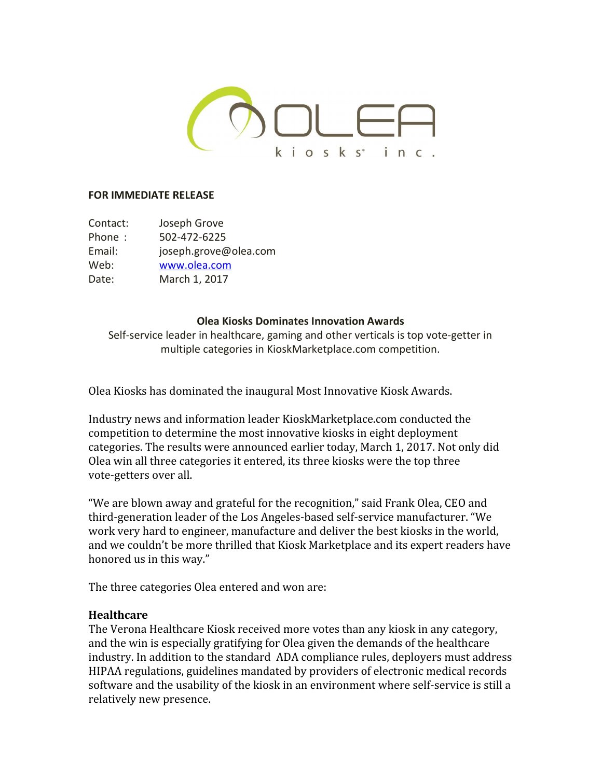

### **FOR IMMEDIATE RELEASE**

Contact: Joseph Grove Phone : 502-472-6225 Email: joseph.grove@olea.com Web: [www.olea.com](http://www.olea.com/) Date: March 1, 2017

#### **Olea Kiosks Dominates Innovation Awards**

Self-service leader in healthcare, gaming and other verticals is top vote-getter in multiple categories in KioskMarketplace.com competition.

Olea Kiosks has dominated the inaugural Most Innovative Kiosk Awards.

Industry news and information leader KioskMarketplace.com conducted the competition to determine the most innovative kiosks in eight deployment categories. The results were announced earlier today, March 1, 2017. Not only did Olea win all three categories it entered, its three kiosks were the top three vote-getters over all.

"We are blown away and grateful for the recognition," said Frank Olea, CEO and third-generation leader of the Los Angeles-based self-service manufacturer. "We work very hard to engineer, manufacture and deliver the best kiosks in the world, and we couldn't be more thrilled that Kiosk Marketplace and its expert readers have honored us in this way."

The three categories Olea entered and won are:

### **Healthcare**

The Verona Healthcare Kiosk received more votes than any kiosk in any category, and the win is especially gratifying for Olea given the demands of the healthcare industry. In addition to the standard ADA compliance rules, deployers must address HIPAA regulations, guidelines mandated by providers of electronic medical records software and the usability of the kiosk in an environment where self-service is still a relatively new presence.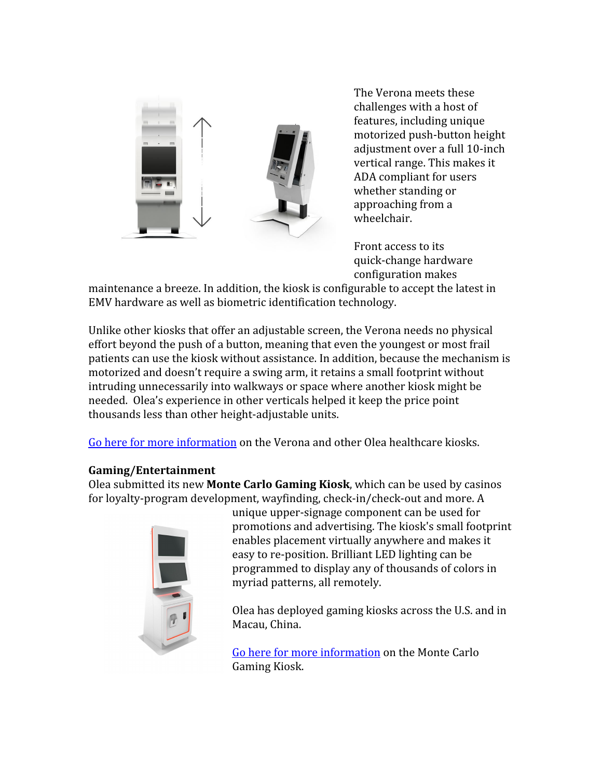

The Verona meets these challenges with a host of features, including unique motorized push-button height adjustment over a full 10-inch vertical range. This makes it ADA compliant for users whether standing or approaching from a wheelchair.

Front access to its quick-change hardware configuration makes

maintenance a breeze. In addition, the kiosk is configurable to accept the latest in EMV hardware as well as biometric identification technology.

Unlike other kiosks that offer an adjustable screen, the Verona needs no physical effort beyond the push of a button, meaning that even the youngest or most frail patients can use the kiosk without assistance. In addition, because the mechanism is motorized and doesn't require a swing arm, it retains a small footprint without intruding unnecessarily into walkways or space where another kiosk might be needed. Olea's experience in other verticals helped it keep the price point thousands less than other height-adjustable units.

[Go here for more information](http://www.olea.com/industry/healthcare-kiosks/) on the Verona and other Olea healthcare kiosks.

## **Gaming/Entertainment**

Olea submitted its new **Monte Carlo Gaming Kiosk**, which can be used by casinos for loyalty-program development, wayfinding, check-in/check-out and more. A



unique upper-signage component can be used for promotions and advertising. The kiosk's small footprint enables placement virtually anywhere and makes it easy to re-position. Brilliant LED lighting can be programmed to display any of thousands of colors in myriad patterns, all remotely.

Olea has deployed gaming kiosks across the U.S. and in Macau, China.

[Go here for more information](http://www.olea.com/product/monte-carlo-gaming-kiosk/) on the Monte Carlo Gaming Kiosk.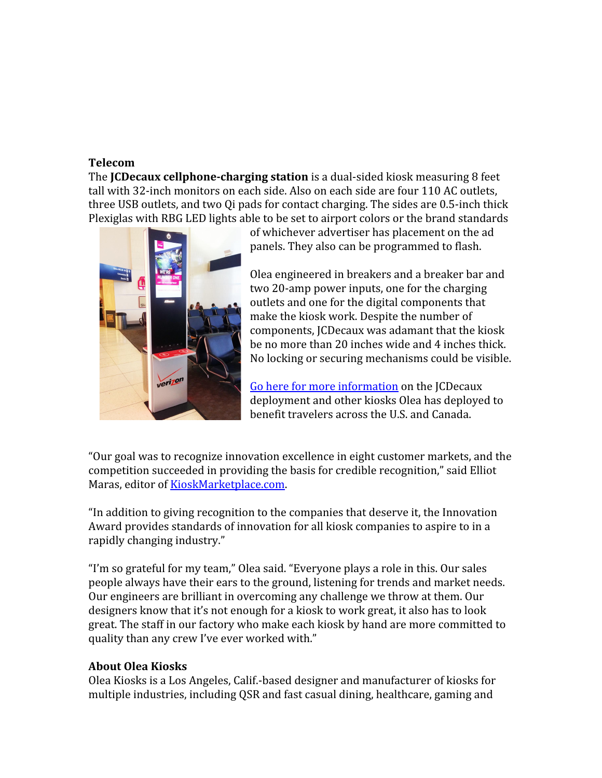### **Telecom**

The **JCDecaux cellphone-charging station** is a dual-sided kiosk measuring 8 feet tall with 32-inch monitors on each side. Also on each side are four 110 AC outlets, three USB outlets, and two Qi pads for contact charging. The sides are 0.5-inch thick Plexiglas with RBG LED lights able to be set to airport colors or the brand standards



of whichever advertiser has placement on the ad panels. They also can be programmed to flash.

Olea engineered in breakers and a breaker bar and two 20-amp power inputs, one for the charging outlets and one for the digital components that make the kiosk work. Despite the number of components, JCDecaux was adamant that the kiosk be no more than 20 inches wide and 4 inches thick. No locking or securing mechanisms could be visible.

[Go here for more information](http://www.olea.com/thelab/kiosks-turbo-boost-public-transportation/) on the JCDecaux deployment and other kiosks Olea has deployed to benefit travelers across the U.S. and Canada.

"Our goal was to recognize innovation excellence in eight customer markets, and the competition succeeded in providing the basis for credible recognition," said Elliot Maras, editor of [KioskMarketplace.com.](http://kioskmarketplace.com/)

"In addition to giving recognition to the companies that deserve it, the Innovation Award provides standards of innovation for all kiosk companies to aspire to in a rapidly changing industry."

"I'm so grateful for my team," Olea said. "Everyone plays a role in this. Our sales people always have their ears to the ground, listening for trends and market needs. Our engineers are brilliant in overcoming any challenge we throw at them. Our designers know that it's not enough for a kiosk to work great, it also has to look great. The staff in our factory who make each kiosk by hand are more committed to quality than any crew I've ever worked with."

## **About Olea Kiosks**

[Olea Kiosks](http://www.olea.com/) is a Los Angeles, Calif.-based designer and manufacturer of kiosks for multiple industries, including QSR and fast casual dining, healthcare, gaming and